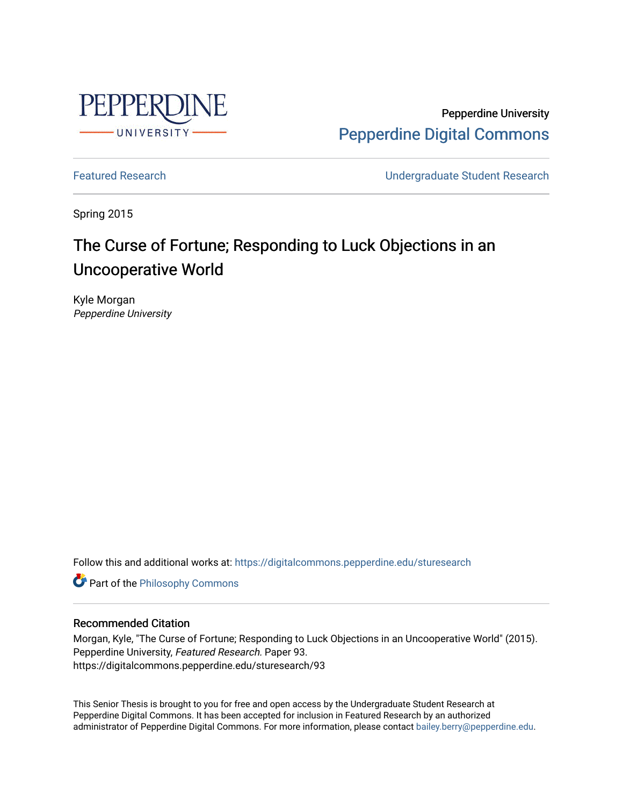

Pepperdine University [Pepperdine Digital Commons](https://digitalcommons.pepperdine.edu/) 

[Featured Research](https://digitalcommons.pepperdine.edu/sturesearch) [Undergraduate Student Research](https://digitalcommons.pepperdine.edu/usr) 

Spring 2015

# The Curse of Fortune; Responding to Luck Objections in an Uncooperative World

Kyle Morgan Pepperdine University

Follow this and additional works at: [https://digitalcommons.pepperdine.edu/sturesearch](https://digitalcommons.pepperdine.edu/sturesearch?utm_source=digitalcommons.pepperdine.edu%2Fsturesearch%2F93&utm_medium=PDF&utm_campaign=PDFCoverPages)

**Part of the Philosophy Commons** 

#### Recommended Citation

Morgan, Kyle, "The Curse of Fortune; Responding to Luck Objections in an Uncooperative World" (2015). Pepperdine University, Featured Research. Paper 93. https://digitalcommons.pepperdine.edu/sturesearch/93

This Senior Thesis is brought to you for free and open access by the Undergraduate Student Research at Pepperdine Digital Commons. It has been accepted for inclusion in Featured Research by an authorized administrator of Pepperdine Digital Commons. For more information, please contact [bailey.berry@pepperdine.edu](mailto:bailey.berry@pepperdine.edu).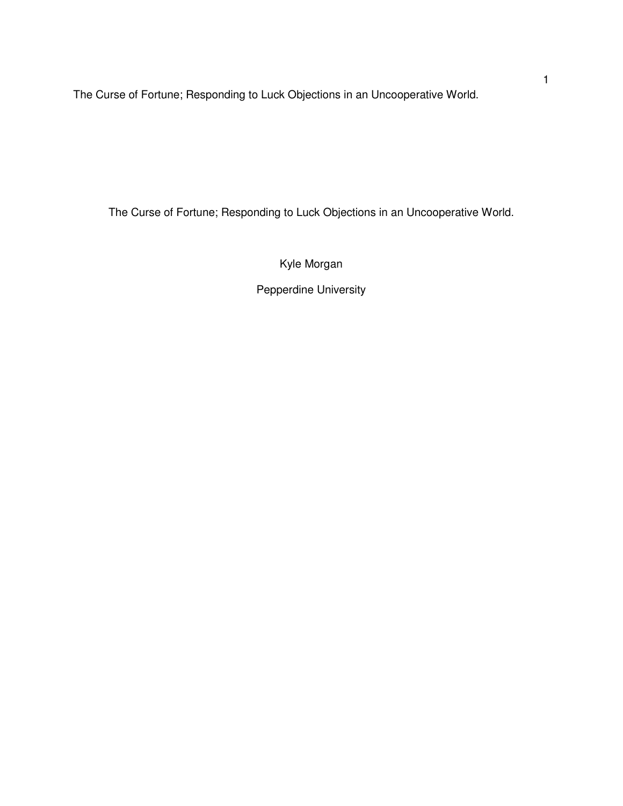The Curse of Fortune; Responding to Luck Objections in an Uncooperative World.

Kyle Morgan

Pepperdine University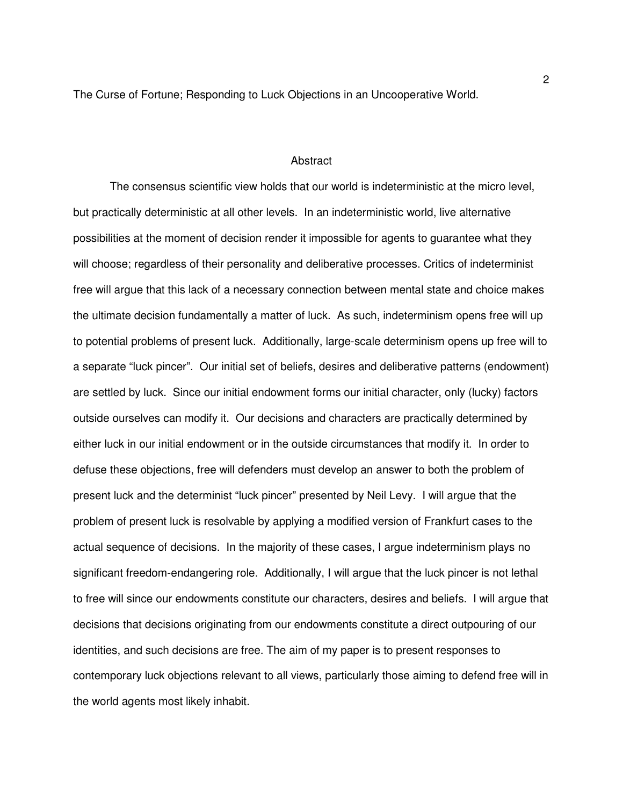#### **Abstract**

The consensus scientific view holds that our world is indeterministic at the micro level, but practically deterministic at all other levels. In an indeterministic world, live alternative possibilities at the moment of decision render it impossible for agents to guarantee what they will choose; regardless of their personality and deliberative processes. Critics of indeterminist free will argue that this lack of a necessary connection between mental state and choice makes the ultimate decision fundamentally a matter of luck. As such, indeterminism opens free will up to potential problems of present luck. Additionally, large-scale determinism opens up free will to a separate "luck pincer". Our initial set of beliefs, desires and deliberative patterns (endowment) are settled by luck. Since our initial endowment forms our initial character, only (lucky) factors outside ourselves can modify it. Our decisions and characters are practically determined by either luck in our initial endowment or in the outside circumstances that modify it. In order to defuse these objections, free will defenders must develop an answer to both the problem of present luck and the determinist "luck pincer" presented by Neil Levy. I will argue that the problem of present luck is resolvable by applying a modified version of Frankfurt cases to the actual sequence of decisions. In the majority of these cases, I argue indeterminism plays no significant freedom-endangering role. Additionally, I will argue that the luck pincer is not lethal to free will since our endowments constitute our characters, desires and beliefs. I will argue that decisions that decisions originating from our endowments constitute a direct outpouring of our identities, and such decisions are free. The aim of my paper is to present responses to contemporary luck objections relevant to all views, particularly those aiming to defend free will in the world agents most likely inhabit.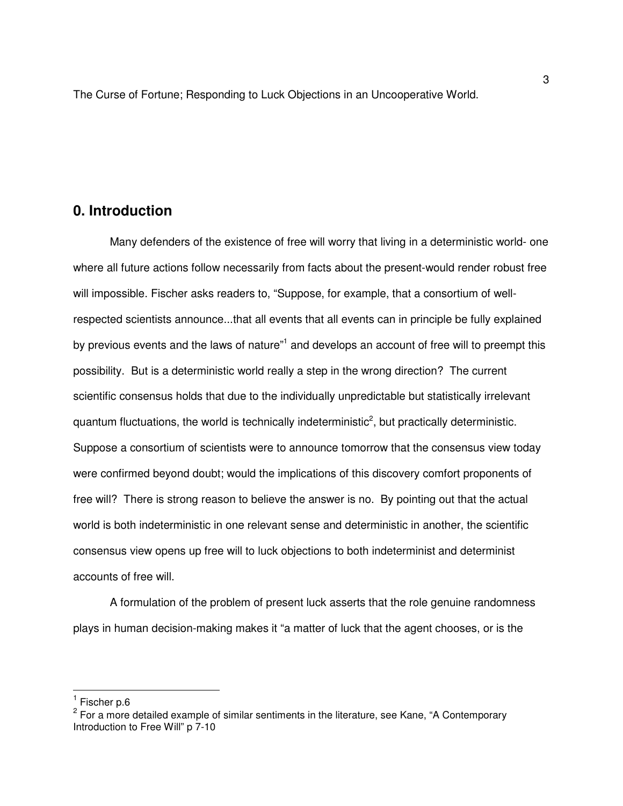### **0. Introduction**

Many defenders of the existence of free will worry that living in a deterministic world- one where all future actions follow necessarily from facts about the present-would render robust free will impossible. Fischer asks readers to, "Suppose, for example, that a consortium of wellrespected scientists announce...that all events that all events can in principle be fully explained by previous events and the laws of nature"<sup>1</sup> and develops an account of free will to preempt this possibility. But is a deterministic world really a step in the wrong direction? The current scientific consensus holds that due to the individually unpredictable but statistically irrelevant quantum fluctuations, the world is technically indeterministic<sup>2</sup>, but practically deterministic. Suppose a consortium of scientists were to announce tomorrow that the consensus view today were confirmed beyond doubt; would the implications of this discovery comfort proponents of free will? There is strong reason to believe the answer is no. By pointing out that the actual world is both indeterministic in one relevant sense and deterministic in another, the scientific consensus view opens up free will to luck objections to both indeterminist and determinist accounts of free will.

A formulation of the problem of present luck asserts that the role genuine randomness plays in human decision-making makes it "a matter of luck that the agent chooses, or is the

-

<sup>&</sup>lt;sup>1</sup> Fischer p.6

<sup>&</sup>lt;sup>2</sup> For a more detailed example of similar sentiments in the literature, see Kane, "A Contemporary Introduction to Free Will" p 7-10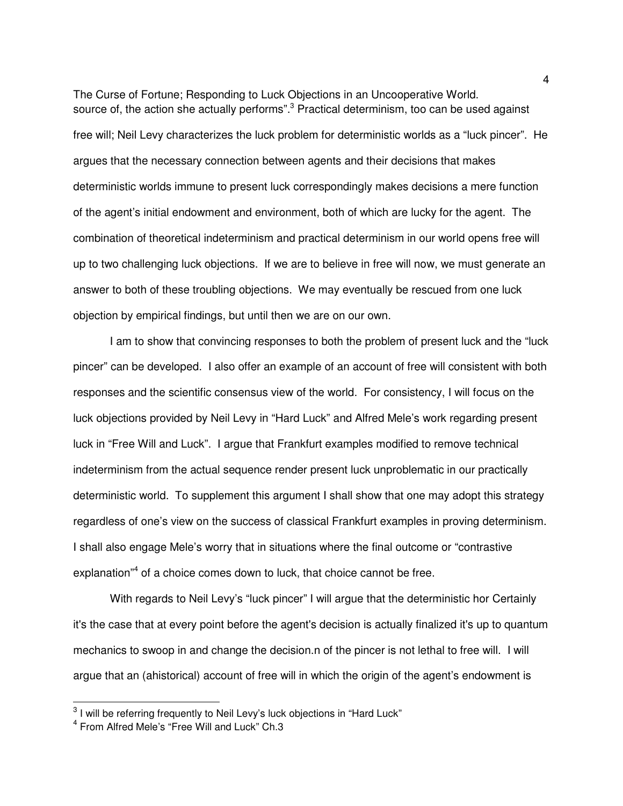The Curse of Fortune; Responding to Luck Objections in an Uncooperative World. source of, the action she actually performs".<sup>3</sup> Practical determinism, too can be used against free will; Neil Levy characterizes the luck problem for deterministic worlds as a "luck pincer". He argues that the necessary connection between agents and their decisions that makes deterministic worlds immune to present luck correspondingly makes decisions a mere function of the agent's initial endowment and environment, both of which are lucky for the agent. The combination of theoretical indeterminism and practical determinism in our world opens free will up to two challenging luck objections. If we are to believe in free will now, we must generate an answer to both of these troubling objections. We may eventually be rescued from one luck objection by empirical findings, but until then we are on our own.

 I am to show that convincing responses to both the problem of present luck and the "luck pincer" can be developed. I also offer an example of an account of free will consistent with both responses and the scientific consensus view of the world. For consistency, I will focus on the luck objections provided by Neil Levy in "Hard Luck" and Alfred Mele's work regarding present luck in "Free Will and Luck". I argue that Frankfurt examples modified to remove technical indeterminism from the actual sequence render present luck unproblematic in our practically deterministic world. To supplement this argument I shall show that one may adopt this strategy regardless of one's view on the success of classical Frankfurt examples in proving determinism. I shall also engage Mele's worry that in situations where the final outcome or "contrastive explanation<sup>"4</sup> of a choice comes down to luck, that choice cannot be free.

 With regards to Neil Levy's "luck pincer" I will argue that the deterministic hor Certainly it's the case that at every point before the agent's decision is actually finalized it's up to quantum mechanics to swoop in and change the decision.n of the pincer is not lethal to free will. I will argue that an (ahistorical) account of free will in which the origin of the agent's endowment is

 3 I will be referring frequently to Neil Levy's luck objections in "Hard Luck"

<sup>4</sup> From Alfred Mele's "Free Will and Luck" Ch.3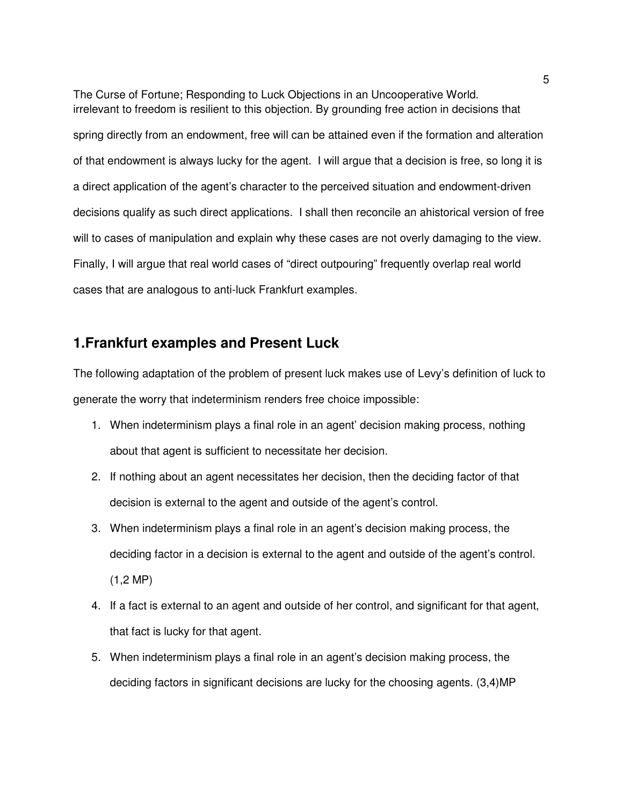The Curse of Fortune; Responding to Luck Objections in an Uncooperative World. irrelevant to freedom is resilient to this objection. By grounding free action in decisions that spring directly from an endowment, free will can be attained even if the formation and alteration of that endowment is always lucky for the agent. I will argue that a decision is free, so long it is a direct application of the agent's character to the perceived situation and endowment-driven decisions qualify as such direct applications. I shall then reconcile an ahistorical version of free will to cases of manipulation and explain why these cases are not overly damaging to the view. Finally, I will argue that real world cases of "direct outpouring" frequently overlap real world cases that are analogous to anti-luck Frankfurt examples.

### **1.Frankfurt examples and Present Luck**

The following adaptation of the problem of present luck makes use of Levy's definition of luck to generate the worry that indeterminism renders free choice impossible:

- 1. When indeterminism plays a final role in an agent' decision making process, nothing about that agent is sufficient to necessitate her decision.
- 2. If nothing about an agent necessitates her decision, then the deciding factor of that decision is external to the agent and outside of the agent's control.
- 3. When indeterminism plays a final role in an agent's decision making process, the deciding factor in a decision is external to the agent and outside of the agent's control.  $(1, 2 \text{ MP})$
- 4. If a fact is external to an agent and outside of her control, and significant for that agent, that fact is lucky for that agent.
- 5. When indeterminism plays a final role in an agent's decision making process, the deciding factors in significant decisions are lucky for the choosing agents. (3,4)MP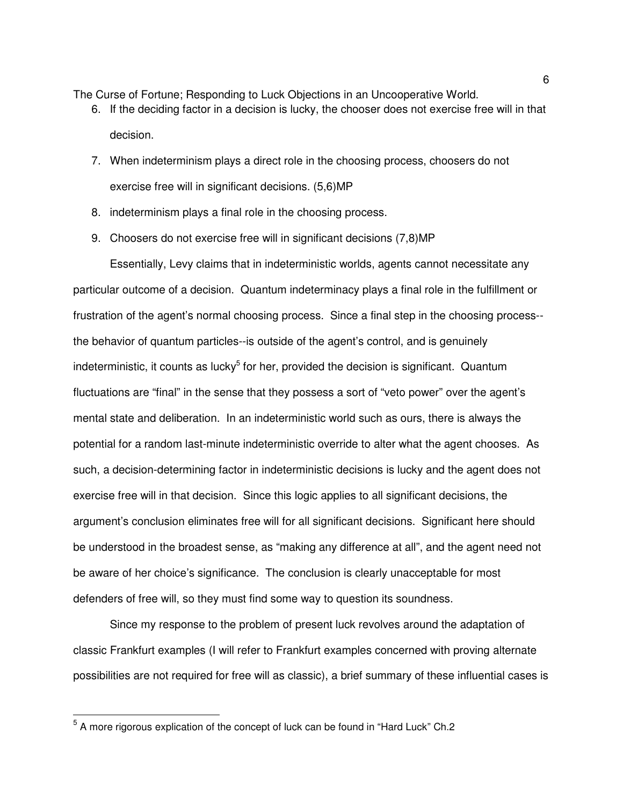- 6. If the deciding factor in a decision is lucky, the chooser does not exercise free will in that decision.
- 7. When indeterminism plays a direct role in the choosing process, choosers do not exercise free will in significant decisions. (5,6)MP
- 8. indeterminism plays a final role in the choosing process.
- 9. Choosers do not exercise free will in significant decisions (7,8)MP

 Essentially, Levy claims that in indeterministic worlds, agents cannot necessitate any particular outcome of a decision. Quantum indeterminacy plays a final role in the fulfillment or frustration of the agent's normal choosing process. Since a final step in the choosing process- the behavior of quantum particles--is outside of the agent's control, and is genuinely indeterministic, it counts as lucky<sup>5</sup> for her, provided the decision is significant. Quantum fluctuations are "final" in the sense that they possess a sort of "veto power" over the agent's mental state and deliberation. In an indeterministic world such as ours, there is always the potential for a random last-minute indeterministic override to alter what the agent chooses. As such, a decision-determining factor in indeterministic decisions is lucky and the agent does not exercise free will in that decision. Since this logic applies to all significant decisions, the argument's conclusion eliminates free will for all significant decisions. Significant here should be understood in the broadest sense, as "making any difference at all", and the agent need not be aware of her choice's significance. The conclusion is clearly unacceptable for most defenders of free will, so they must find some way to question its soundness.

 Since my response to the problem of present luck revolves around the adaptation of classic Frankfurt examples (I will refer to Frankfurt examples concerned with proving alternate possibilities are not required for free will as classic), a brief summary of these influential cases is

 5 A more rigorous explication of the concept of luck can be found in "Hard Luck" Ch.2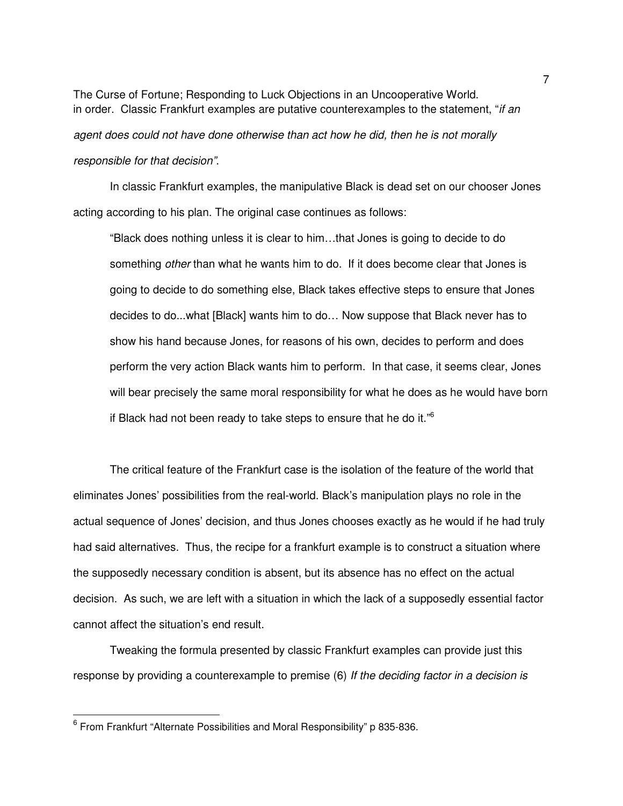The Curse of Fortune; Responding to Luck Objections in an Uncooperative World. in order. Classic Frankfurt examples are putative counterexamples to the statement, "if an

agent does could not have done otherwise than act how he did, then he is not morally responsible for that decision".

In classic Frankfurt examples, the manipulative Black is dead set on our chooser Jones acting according to his plan. The original case continues as follows:

"Black does nothing unless it is clear to him…that Jones is going to decide to do something *other* than what he wants him to do. If it does become clear that Jones is going to decide to do something else, Black takes effective steps to ensure that Jones decides to do...what [Black] wants him to do… Now suppose that Black never has to show his hand because Jones, for reasons of his own, decides to perform and does perform the very action Black wants him to perform. In that case, it seems clear, Jones will bear precisely the same moral responsibility for what he does as he would have born if Black had not been ready to take steps to ensure that he do it." $6$ 

The critical feature of the Frankfurt case is the isolation of the feature of the world that eliminates Jones' possibilities from the real-world. Black's manipulation plays no role in the actual sequence of Jones' decision, and thus Jones chooses exactly as he would if he had truly had said alternatives. Thus, the recipe for a frankfurt example is to construct a situation where the supposedly necessary condition is absent, but its absence has no effect on the actual decision. As such, we are left with a situation in which the lack of a supposedly essential factor cannot affect the situation's end result.

Tweaking the formula presented by classic Frankfurt examples can provide just this response by providing a counterexample to premise (6) If the deciding factor in a decision is

-

<sup>6</sup> From Frankfurt "Alternate Possibilities and Moral Responsibility" p 835-836.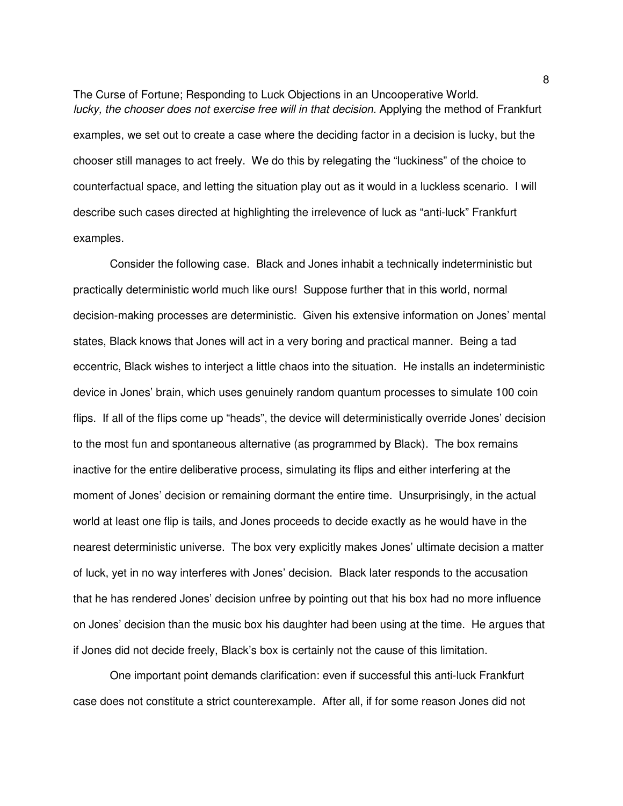The Curse of Fortune; Responding to Luck Objections in an Uncooperative World. lucky, the chooser does not exercise free will in that decision. Applying the method of Frankfurt examples, we set out to create a case where the deciding factor in a decision is lucky, but the chooser still manages to act freely. We do this by relegating the "luckiness" of the choice to counterfactual space, and letting the situation play out as it would in a luckless scenario. I will describe such cases directed at highlighting the irrelevence of luck as "anti-luck" Frankfurt examples.

Consider the following case. Black and Jones inhabit a technically indeterministic but practically deterministic world much like ours! Suppose further that in this world, normal decision-making processes are deterministic. Given his extensive information on Jones' mental states, Black knows that Jones will act in a very boring and practical manner. Being a tad eccentric, Black wishes to interject a little chaos into the situation. He installs an indeterministic device in Jones' brain, which uses genuinely random quantum processes to simulate 100 coin flips. If all of the flips come up "heads", the device will deterministically override Jones' decision to the most fun and spontaneous alternative (as programmed by Black). The box remains inactive for the entire deliberative process, simulating its flips and either interfering at the moment of Jones' decision or remaining dormant the entire time. Unsurprisingly, in the actual world at least one flip is tails, and Jones proceeds to decide exactly as he would have in the nearest deterministic universe. The box very explicitly makes Jones' ultimate decision a matter of luck, yet in no way interferes with Jones' decision. Black later responds to the accusation that he has rendered Jones' decision unfree by pointing out that his box had no more influence on Jones' decision than the music box his daughter had been using at the time. He argues that if Jones did not decide freely, Black's box is certainly not the cause of this limitation.

One important point demands clarification: even if successful this anti-luck Frankfurt case does not constitute a strict counterexample. After all, if for some reason Jones did not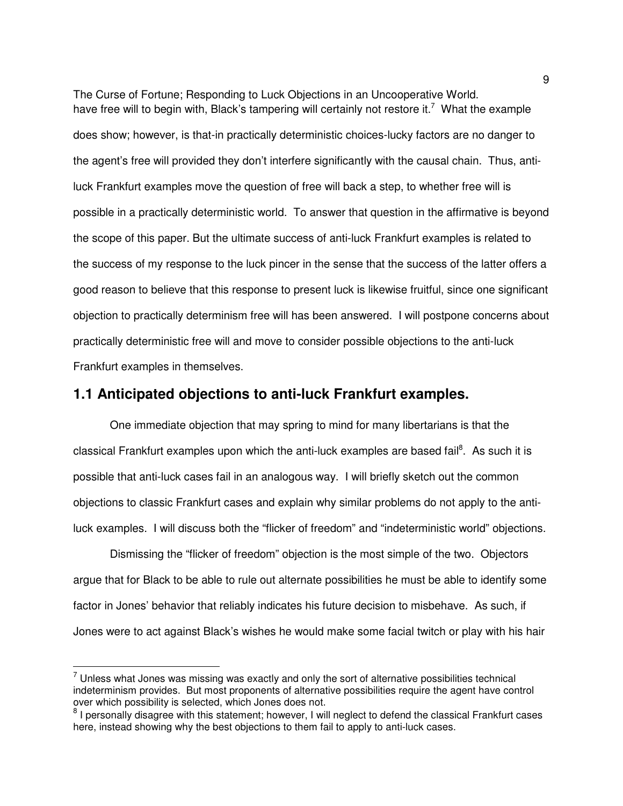The Curse of Fortune; Responding to Luck Objections in an Uncooperative World. have free will to begin with, Black's tampering will certainly not restore it.<sup>7</sup> What the example does show; however, is that-in practically deterministic choices-lucky factors are no danger to the agent's free will provided they don't interfere significantly with the causal chain. Thus, antiluck Frankfurt examples move the question of free will back a step, to whether free will is possible in a practically deterministic world. To answer that question in the affirmative is beyond the scope of this paper. But the ultimate success of anti-luck Frankfurt examples is related to the success of my response to the luck pincer in the sense that the success of the latter offers a good reason to believe that this response to present luck is likewise fruitful, since one significant objection to practically determinism free will has been answered. I will postpone concerns about practically deterministic free will and move to consider possible objections to the anti-luck Frankfurt examples in themselves.

### **1.1 Anticipated objections to anti-luck Frankfurt examples.**

One immediate objection that may spring to mind for many libertarians is that the classical Frankfurt examples upon which the anti-luck examples are based fail<sup>8</sup>. As such it is possible that anti-luck cases fail in an analogous way. I will briefly sketch out the common objections to classic Frankfurt cases and explain why similar problems do not apply to the antiluck examples. I will discuss both the "flicker of freedom" and "indeterministic world" objections.

Dismissing the "flicker of freedom" objection is the most simple of the two. Objectors argue that for Black to be able to rule out alternate possibilities he must be able to identify some factor in Jones' behavior that reliably indicates his future decision to misbehave. As such, if Jones were to act against Black's wishes he would make some facial twitch or play with his hair

 $\overline{a}$ 

 $7$  Unless what Jones was missing was exactly and only the sort of alternative possibilities technical indeterminism provides. But most proponents of alternative possibilities require the agent have control over which possibility is selected, which Jones does not.

<sup>&</sup>lt;sup>8</sup> I personally disagree with this statement; however, I will neglect to defend the classical Frankfurt cases here, instead showing why the best objections to them fail to apply to anti-luck cases.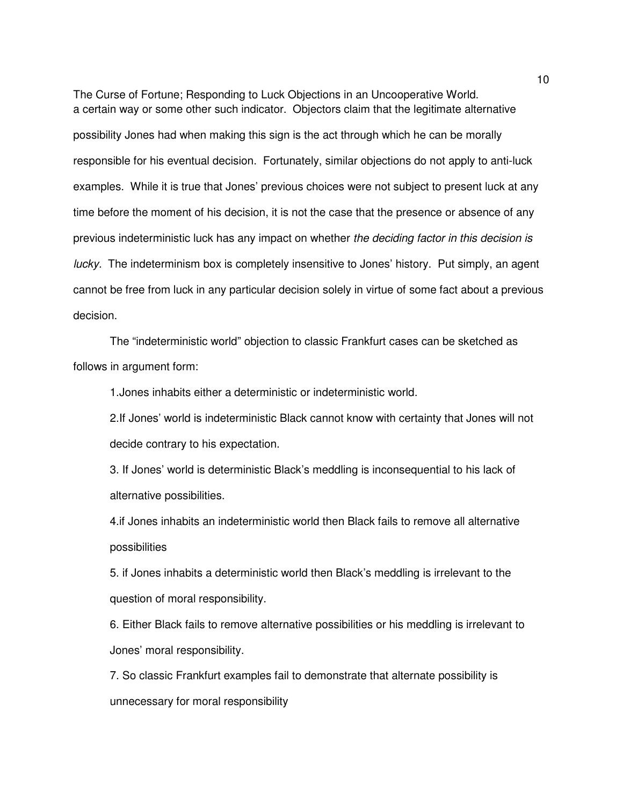The Curse of Fortune; Responding to Luck Objections in an Uncooperative World. a certain way or some other such indicator. Objectors claim that the legitimate alternative possibility Jones had when making this sign is the act through which he can be morally responsible for his eventual decision. Fortunately, similar objections do not apply to anti-luck examples. While it is true that Jones' previous choices were not subject to present luck at any time before the moment of his decision, it is not the case that the presence or absence of any previous indeterministic luck has any impact on whether the deciding factor in this decision is lucky. The indeterminism box is completely insensitive to Jones' history. Put simply, an agent cannot be free from luck in any particular decision solely in virtue of some fact about a previous decision.

The "indeterministic world" objection to classic Frankfurt cases can be sketched as follows in argument form:

1.Jones inhabits either a deterministic or indeterministic world.

2.If Jones' world is indeterministic Black cannot know with certainty that Jones will not decide contrary to his expectation.

3. If Jones' world is deterministic Black's meddling is inconsequential to his lack of alternative possibilities.

4.if Jones inhabits an indeterministic world then Black fails to remove all alternative possibilities

5. if Jones inhabits a deterministic world then Black's meddling is irrelevant to the question of moral responsibility.

6. Either Black fails to remove alternative possibilities or his meddling is irrelevant to Jones' moral responsibility.

7. So classic Frankfurt examples fail to demonstrate that alternate possibility is unnecessary for moral responsibility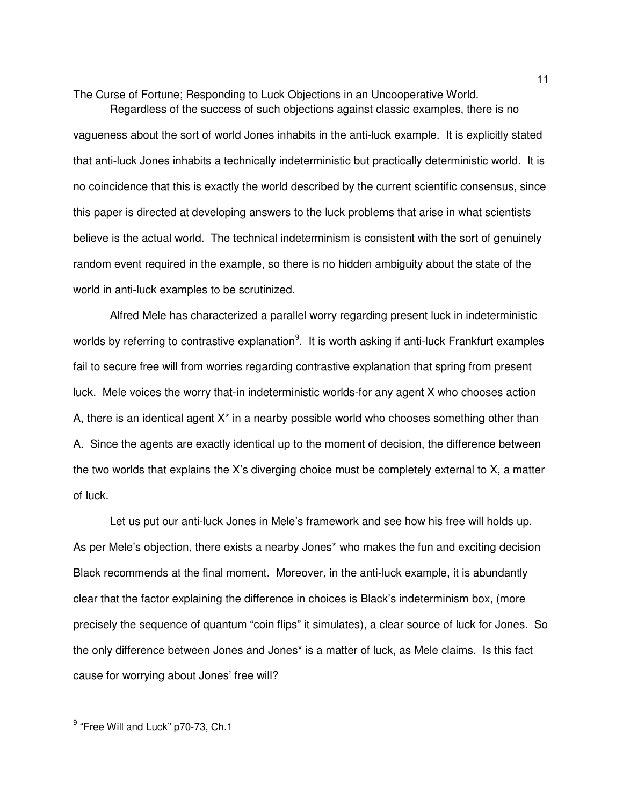Regardless of the success of such objections against classic examples, there is no vagueness about the sort of world Jones inhabits in the anti-luck example. It is explicitly stated that anti-luck Jones inhabits a technically indeterministic but practically deterministic world. It is no coincidence that this is exactly the world described by the current scientific consensus, since this paper is directed at developing answers to the luck problems that arise in what scientists believe is the actual world. The technical indeterminism is consistent with the sort of genuinely random event required in the example, so there is no hidden ambiguity about the state of the world in anti-luck examples to be scrutinized.

 Alfred Mele has characterized a parallel worry regarding present luck in indeterministic worlds by referring to contrastive explanation<sup>9</sup>. It is worth asking if anti-luck Frankfurt examples fail to secure free will from worries regarding contrastive explanation that spring from present luck. Mele voices the worry that-in indeterministic worlds-for any agent X who chooses action A, there is an identical agent  $X^*$  in a nearby possible world who chooses something other than A. Since the agents are exactly identical up to the moment of decision, the difference between the two worlds that explains the X's diverging choice must be completely external to X, a matter of luck.

Let us put our anti-luck Jones in Mele's framework and see how his free will holds up. As per Mele's objection, there exists a nearby Jones\* who makes the fun and exciting decision Black recommends at the final moment. Moreover, in the anti-luck example, it is abundantly clear that the factor explaining the difference in choices is Black's indeterminism box, (more precisely the sequence of quantum "coin flips" it simulates), a clear source of luck for Jones. So the only difference between Jones and Jones\* is a matter of luck, as Mele claims. Is this fact cause for worrying about Jones' free will?

-

 $^9$  "Free Will and Luck" p70-73, Ch.1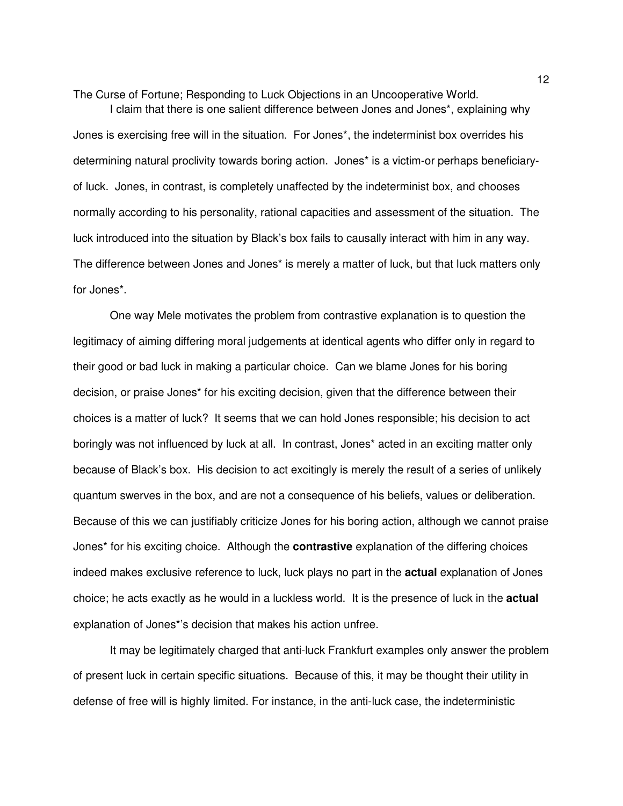I claim that there is one salient difference between Jones and Jones\*, explaining why Jones is exercising free will in the situation. For Jones\*, the indeterminist box overrides his determining natural proclivity towards boring action. Jones\* is a victim-or perhaps beneficiaryof luck. Jones, in contrast, is completely unaffected by the indeterminist box, and chooses normally according to his personality, rational capacities and assessment of the situation. The luck introduced into the situation by Black's box fails to causally interact with him in any way. The difference between Jones and Jones\* is merely a matter of luck, but that luck matters only for Jones\*.

One way Mele motivates the problem from contrastive explanation is to question the legitimacy of aiming differing moral judgements at identical agents who differ only in regard to their good or bad luck in making a particular choice. Can we blame Jones for his boring decision, or praise Jones\* for his exciting decision, given that the difference between their choices is a matter of luck? It seems that we can hold Jones responsible; his decision to act boringly was not influenced by luck at all. In contrast, Jones\* acted in an exciting matter only because of Black's box. His decision to act excitingly is merely the result of a series of unlikely quantum swerves in the box, and are not a consequence of his beliefs, values or deliberation. Because of this we can justifiably criticize Jones for his boring action, although we cannot praise Jones\* for his exciting choice. Although the **contrastive** explanation of the differing choices indeed makes exclusive reference to luck, luck plays no part in the **actual** explanation of Jones choice; he acts exactly as he would in a luckless world. It is the presence of luck in the **actual** explanation of Jones\*'s decision that makes his action unfree.

It may be legitimately charged that anti-luck Frankfurt examples only answer the problem of present luck in certain specific situations. Because of this, it may be thought their utility in defense of free will is highly limited. For instance, in the anti-luck case, the indeterministic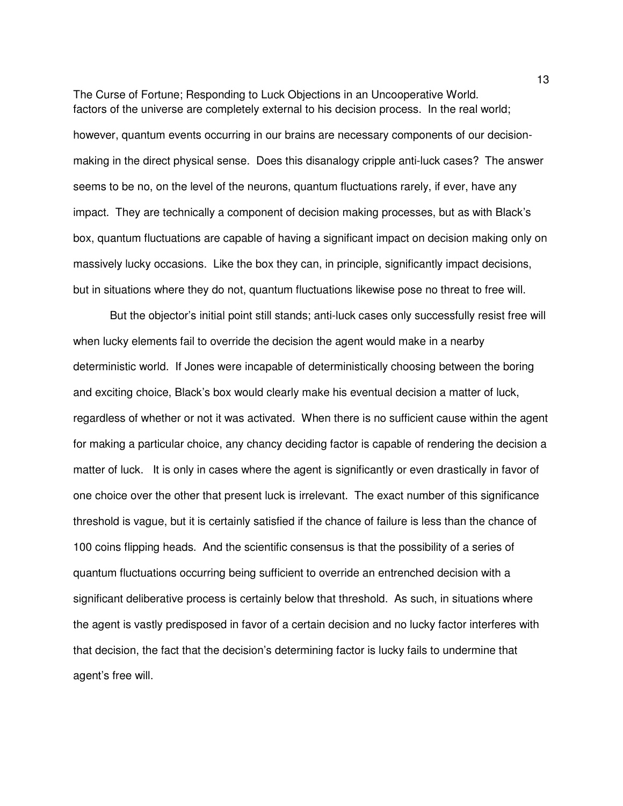The Curse of Fortune; Responding to Luck Objections in an Uncooperative World. factors of the universe are completely external to his decision process. In the real world; however, quantum events occurring in our brains are necessary components of our decisionmaking in the direct physical sense. Does this disanalogy cripple anti-luck cases? The answer seems to be no, on the level of the neurons, quantum fluctuations rarely, if ever, have any impact. They are technically a component of decision making processes, but as with Black's box, quantum fluctuations are capable of having a significant impact on decision making only on massively lucky occasions. Like the box they can, in principle, significantly impact decisions, but in situations where they do not, quantum fluctuations likewise pose no threat to free will.

But the objector's initial point still stands; anti-luck cases only successfully resist free will when lucky elements fail to override the decision the agent would make in a nearby deterministic world. If Jones were incapable of deterministically choosing between the boring and exciting choice, Black's box would clearly make his eventual decision a matter of luck, regardless of whether or not it was activated. When there is no sufficient cause within the agent for making a particular choice, any chancy deciding factor is capable of rendering the decision a matter of luck. It is only in cases where the agent is significantly or even drastically in favor of one choice over the other that present luck is irrelevant. The exact number of this significance threshold is vague, but it is certainly satisfied if the chance of failure is less than the chance of 100 coins flipping heads. And the scientific consensus is that the possibility of a series of quantum fluctuations occurring being sufficient to override an entrenched decision with a significant deliberative process is certainly below that threshold. As such, in situations where the agent is vastly predisposed in favor of a certain decision and no lucky factor interferes with that decision, the fact that the decision's determining factor is lucky fails to undermine that agent's free will.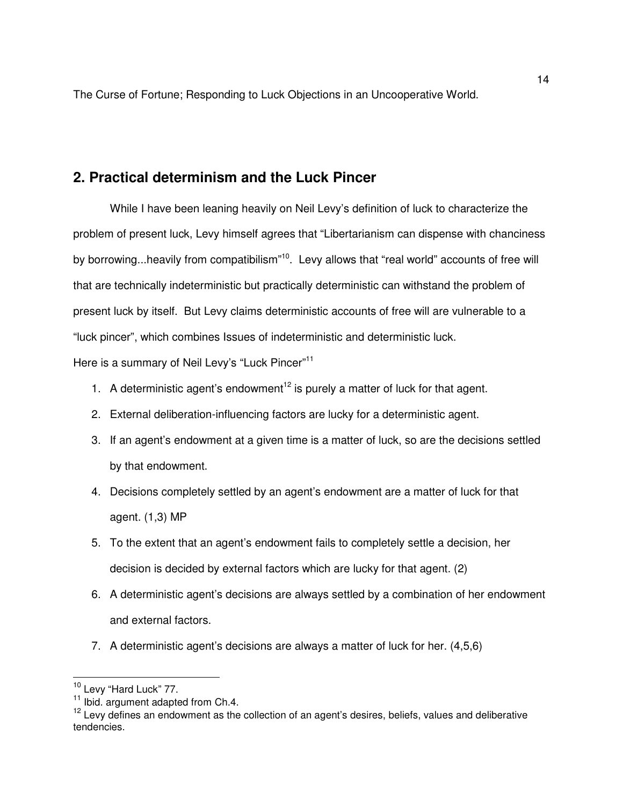### **2. Practical determinism and the Luck Pincer**

 While I have been leaning heavily on Neil Levy's definition of luck to characterize the problem of present luck, Levy himself agrees that "Libertarianism can dispense with chanciness by borrowing...heavily from compatibilism<sup>"10</sup>. Levy allows that "real world" accounts of free will that are technically indeterministic but practically deterministic can withstand the problem of present luck by itself. But Levy claims deterministic accounts of free will are vulnerable to a "luck pincer", which combines Issues of indeterministic and deterministic luck.

Here is a summary of Neil Levy's "Luck Pincer"<sup>11</sup>

- 1. A deterministic agent's endowment<sup>12</sup> is purely a matter of luck for that agent.
- 2. External deliberation-influencing factors are lucky for a deterministic agent.
- 3. If an agent's endowment at a given time is a matter of luck, so are the decisions settled by that endowment.
- 4. Decisions completely settled by an agent's endowment are a matter of luck for that agent. (1,3) MP
- 5. To the extent that an agent's endowment fails to completely settle a decision, her decision is decided by external factors which are lucky for that agent. (2)
- 6. A deterministic agent's decisions are always settled by a combination of her endowment and external factors.
- 7. A deterministic agent's decisions are always a matter of luck for her. (4,5,6)

 $\overline{a}$ 

<sup>&</sup>lt;sup>10</sup> Levy "Hard Luck" 77.

<sup>&</sup>lt;sup>11</sup> Ibid. argument adapted from Ch.4.

 $12$  Levy defines an endowment as the collection of an agent's desires, beliefs, values and deliberative tendencies.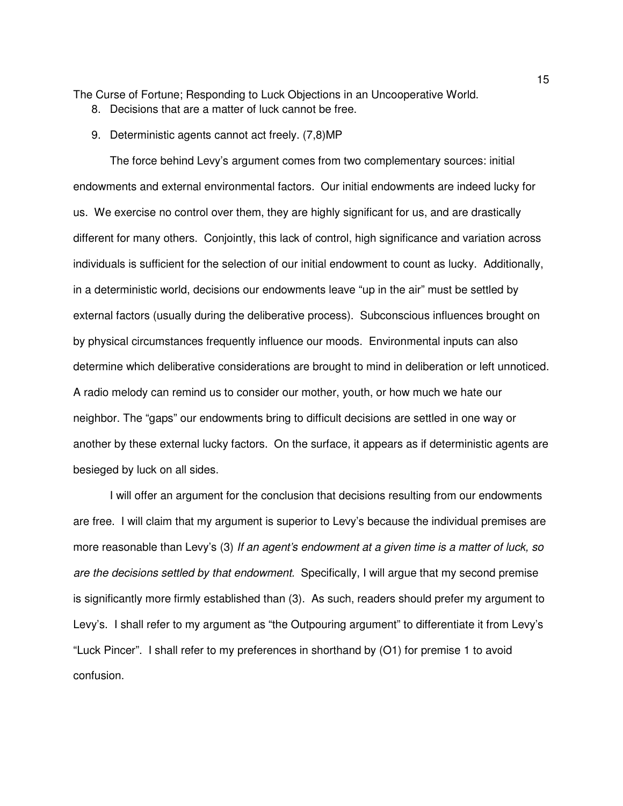- 8. Decisions that are a matter of luck cannot be free.
- 9. Deterministic agents cannot act freely. (7,8)MP

The force behind Levy's argument comes from two complementary sources: initial endowments and external environmental factors. Our initial endowments are indeed lucky for us. We exercise no control over them, they are highly significant for us, and are drastically different for many others. Conjointly, this lack of control, high significance and variation across individuals is sufficient for the selection of our initial endowment to count as lucky. Additionally, in a deterministic world, decisions our endowments leave "up in the air" must be settled by external factors (usually during the deliberative process). Subconscious influences brought on by physical circumstances frequently influence our moods. Environmental inputs can also determine which deliberative considerations are brought to mind in deliberation or left unnoticed. A radio melody can remind us to consider our mother, youth, or how much we hate our neighbor. The "gaps" our endowments bring to difficult decisions are settled in one way or another by these external lucky factors. On the surface, it appears as if deterministic agents are besieged by luck on all sides.

 I will offer an argument for the conclusion that decisions resulting from our endowments are free. I will claim that my argument is superior to Levy's because the individual premises are more reasonable than Levy's (3) If an agent's endowment at a given time is a matter of luck, so are the decisions settled by that endowment. Specifically, I will argue that my second premise is significantly more firmly established than (3). As such, readers should prefer my argument to Levy's. I shall refer to my argument as "the Outpouring argument" to differentiate it from Levy's "Luck Pincer". I shall refer to my preferences in shorthand by (O1) for premise 1 to avoid confusion.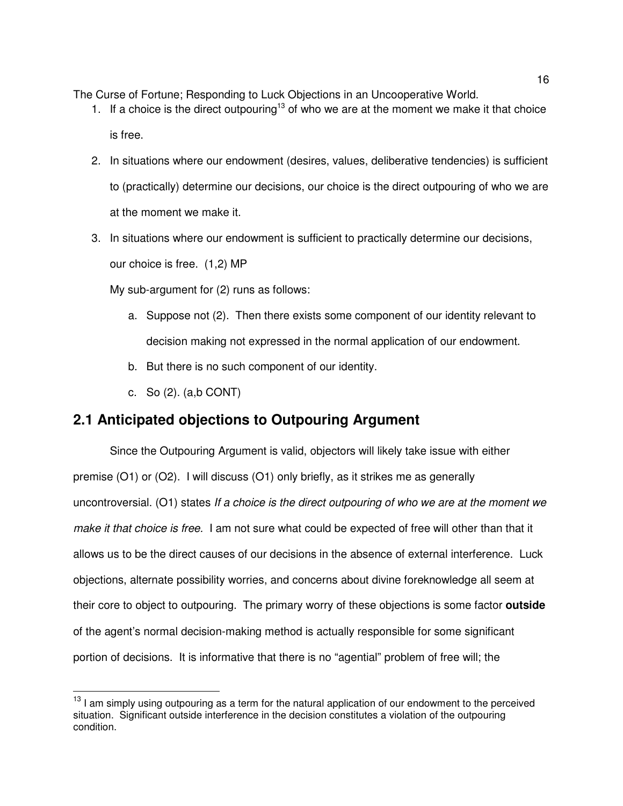- 1. If a choice is the direct outpouring<sup>13</sup> of who we are at the moment we make it that choice is free.
- 2. In situations where our endowment (desires, values, deliberative tendencies) is sufficient to (practically) determine our decisions, our choice is the direct outpouring of who we are at the moment we make it.
- 3. In situations where our endowment is sufficient to practically determine our decisions, our choice is free. (1,2) MP

My sub-argument for (2) runs as follows:

- a. Suppose not (2). Then there exists some component of our identity relevant to decision making not expressed in the normal application of our endowment.
- b. But there is no such component of our identity.
- c. So (2). (a,b CONT)

-

## **2.1 Anticipated objections to Outpouring Argument**

Since the Outpouring Argument is valid, objectors will likely take issue with either premise (O1) or (O2). I will discuss (O1) only briefly, as it strikes me as generally uncontroversial. (O1) states If a choice is the direct outpouring of who we are at the moment we make it that choice is free. I am not sure what could be expected of free will other than that it allows us to be the direct causes of our decisions in the absence of external interference. Luck objections, alternate possibility worries, and concerns about divine foreknowledge all seem at their core to object to outpouring. The primary worry of these objections is some factor **outside** of the agent's normal decision-making method is actually responsible for some significant portion of decisions. It is informative that there is no "agential" problem of free will; the

<sup>&</sup>lt;sup>13</sup> I am simply using outpouring as a term for the natural application of our endowment to the perceived situation. Significant outside interference in the decision constitutes a violation of the outpouring condition.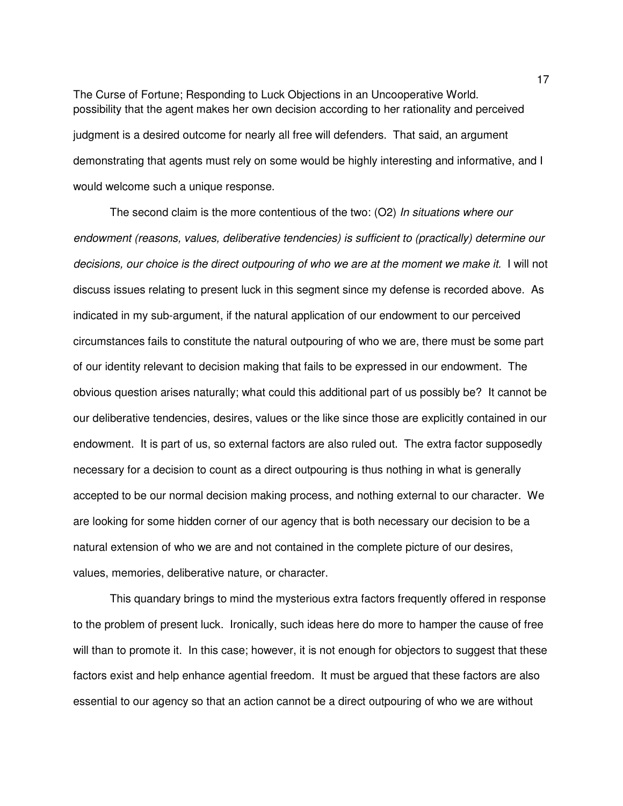The Curse of Fortune; Responding to Luck Objections in an Uncooperative World. possibility that the agent makes her own decision according to her rationality and perceived judgment is a desired outcome for nearly all free will defenders. That said, an argument demonstrating that agents must rely on some would be highly interesting and informative, and I would welcome such a unique response.

The second claim is the more contentious of the two: (O2) In situations where our endowment (reasons, values, deliberative tendencies) is sufficient to (practically) determine our decisions, our choice is the direct outpouring of who we are at the moment we make it. I will not discuss issues relating to present luck in this segment since my defense is recorded above. As indicated in my sub-argument, if the natural application of our endowment to our perceived circumstances fails to constitute the natural outpouring of who we are, there must be some part of our identity relevant to decision making that fails to be expressed in our endowment. The obvious question arises naturally; what could this additional part of us possibly be? It cannot be our deliberative tendencies, desires, values or the like since those are explicitly contained in our endowment. It is part of us, so external factors are also ruled out. The extra factor supposedly necessary for a decision to count as a direct outpouring is thus nothing in what is generally accepted to be our normal decision making process, and nothing external to our character. We are looking for some hidden corner of our agency that is both necessary our decision to be a natural extension of who we are and not contained in the complete picture of our desires, values, memories, deliberative nature, or character.

 This quandary brings to mind the mysterious extra factors frequently offered in response to the problem of present luck. Ironically, such ideas here do more to hamper the cause of free will than to promote it. In this case; however, it is not enough for objectors to suggest that these factors exist and help enhance agential freedom. It must be argued that these factors are also essential to our agency so that an action cannot be a direct outpouring of who we are without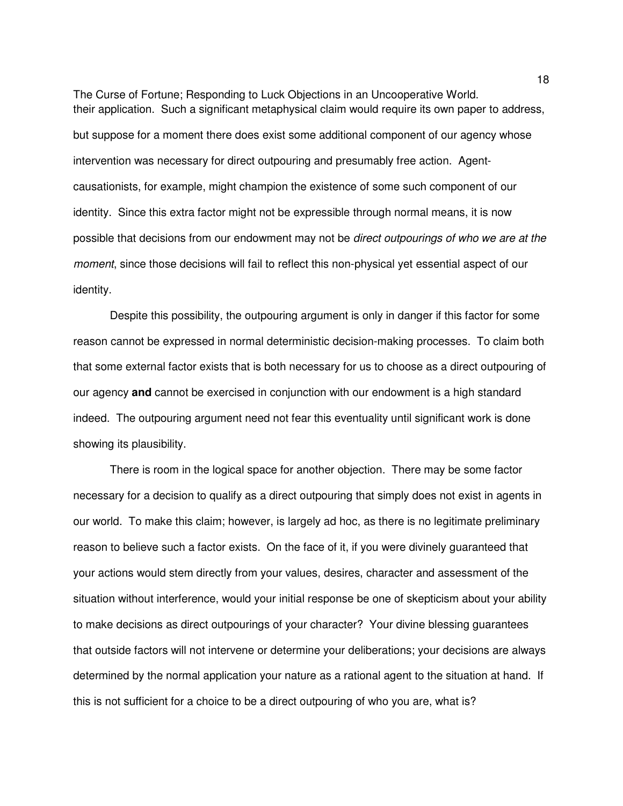The Curse of Fortune; Responding to Luck Objections in an Uncooperative World. their application. Such a significant metaphysical claim would require its own paper to address, but suppose for a moment there does exist some additional component of our agency whose intervention was necessary for direct outpouring and presumably free action. Agentcausationists, for example, might champion the existence of some such component of our identity. Since this extra factor might not be expressible through normal means, it is now possible that decisions from our endowment may not be direct outpourings of who we are at the moment, since those decisions will fail to reflect this non-physical yet essential aspect of our identity.

Despite this possibility, the outpouring argument is only in danger if this factor for some reason cannot be expressed in normal deterministic decision-making processes. To claim both that some external factor exists that is both necessary for us to choose as a direct outpouring of our agency **and** cannot be exercised in conjunction with our endowment is a high standard indeed. The outpouring argument need not fear this eventuality until significant work is done showing its plausibility.

 There is room in the logical space for another objection. There may be some factor necessary for a decision to qualify as a direct outpouring that simply does not exist in agents in our world. To make this claim; however, is largely ad hoc, as there is no legitimate preliminary reason to believe such a factor exists. On the face of it, if you were divinely guaranteed that your actions would stem directly from your values, desires, character and assessment of the situation without interference, would your initial response be one of skepticism about your ability to make decisions as direct outpourings of your character? Your divine blessing guarantees that outside factors will not intervene or determine your deliberations; your decisions are always determined by the normal application your nature as a rational agent to the situation at hand. If this is not sufficient for a choice to be a direct outpouring of who you are, what is?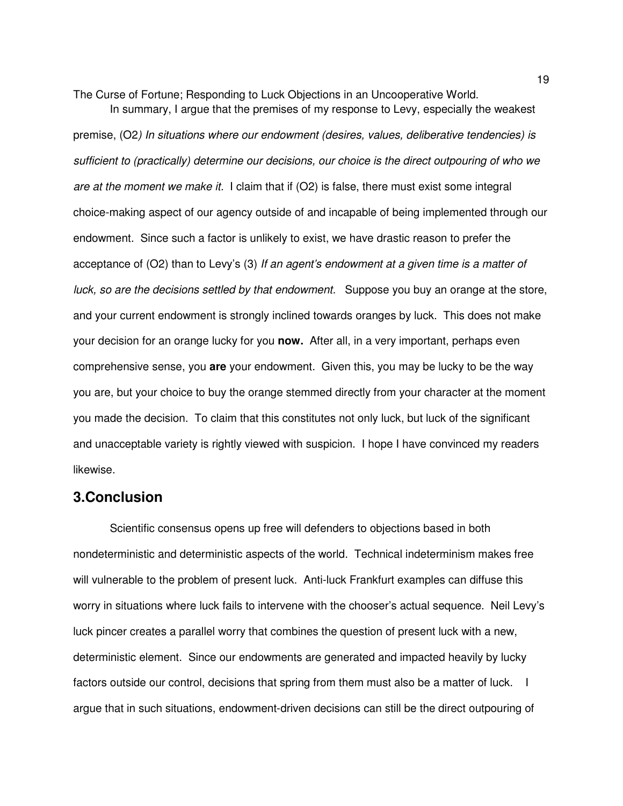In summary, I argue that the premises of my response to Levy, especially the weakest premise, (O2) In situations where our endowment (desires, values, deliberative tendencies) is sufficient to (practically) determine our decisions, our choice is the direct outpouring of who we are at the moment we make it. I claim that if  $(O2)$  is false, there must exist some integral choice-making aspect of our agency outside of and incapable of being implemented through our endowment. Since such a factor is unlikely to exist, we have drastic reason to prefer the acceptance of  $(O2)$  than to Levy's  $(3)$  If an agent's endowment at a given time is a matter of luck, so are the decisions settled by that endowment. Suppose you buy an orange at the store, and your current endowment is strongly inclined towards oranges by luck. This does not make your decision for an orange lucky for you **now.** After all, in a very important, perhaps even comprehensive sense, you **are** your endowment. Given this, you may be lucky to be the way you are, but your choice to buy the orange stemmed directly from your character at the moment you made the decision. To claim that this constitutes not only luck, but luck of the significant and unacceptable variety is rightly viewed with suspicion. I hope I have convinced my readers likewise.

#### **3.Conclusion**

Scientific consensus opens up free will defenders to objections based in both nondeterministic and deterministic aspects of the world. Technical indeterminism makes free will vulnerable to the problem of present luck. Anti-luck Frankfurt examples can diffuse this worry in situations where luck fails to intervene with the chooser's actual sequence. Neil Levy's luck pincer creates a parallel worry that combines the question of present luck with a new, deterministic element. Since our endowments are generated and impacted heavily by lucky factors outside our control, decisions that spring from them must also be a matter of luck. I argue that in such situations, endowment-driven decisions can still be the direct outpouring of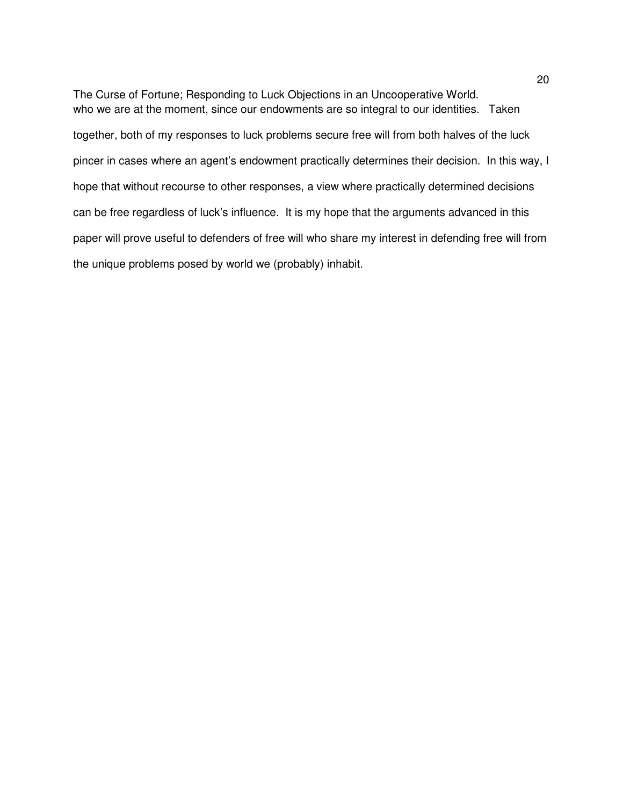The Curse of Fortune; Responding to Luck Objections in an Uncooperative World. who we are at the moment, since our endowments are so integral to our identities. Taken together, both of my responses to luck problems secure free will from both halves of the luck pincer in cases where an agent's endowment practically determines their decision. In this way, I hope that without recourse to other responses, a view where practically determined decisions can be free regardless of luck's influence. It is my hope that the arguments advanced in this paper will prove useful to defenders of free will who share my interest in defending free will from the unique problems posed by world we (probably) inhabit.